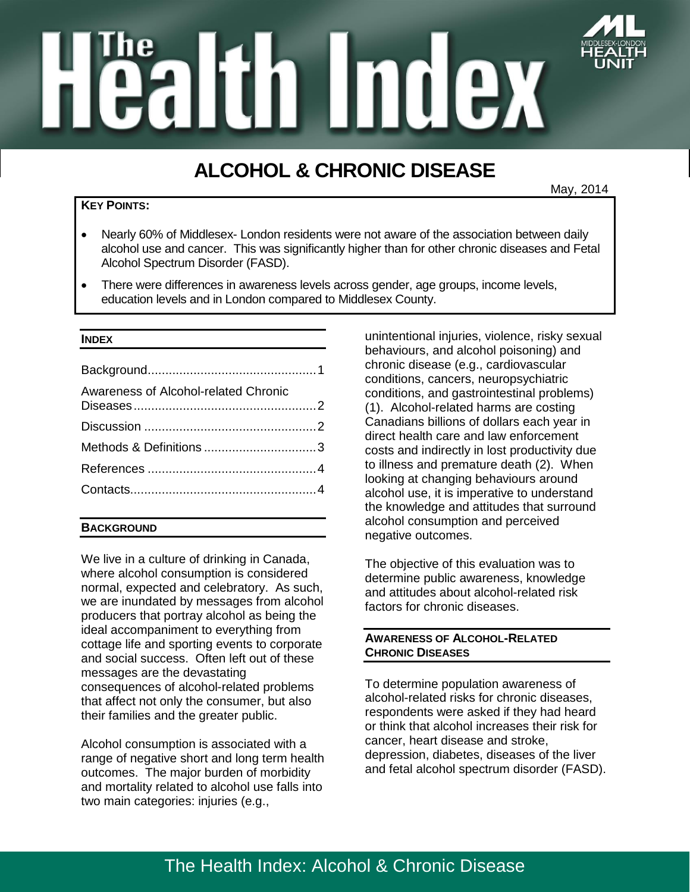

# **ALCOHOL & CHRONIC DISEASE**

May, 2014

### **KEY POINTS:**

- Nearly 60% of Middlesex- London residents were not aware of the association between daily alcohol use and cancer. This was significantly higher than for other chronic diseases and Fetal Alcohol Spectrum Disorder (FASD).
- There were differences in awareness levels across gender, age groups, income levels, education levels and in London compared to Middlesex County.

#### **INDEX**

| Awareness of Alcohol-related Chronic |  |
|--------------------------------------|--|
|                                      |  |
|                                      |  |
|                                      |  |
|                                      |  |

### **BACKGROUND**

We live in a culture of drinking in Canada, where alcohol consumption is considered normal, expected and celebratory. As such, we are inundated by messages from alcohol producers that portray alcohol as being the ideal accompaniment to everything from cottage life and sporting events to corporate and social success. Often left out of these messages are the devastating consequences of alcohol-related problems that affect not only the consumer, but also their families and the greater public.

Alcohol consumption is associated with a range of negative short and long term health outcomes. The major burden of morbidity and mortality related to alcohol use falls into two main categories: injuries (e.g.,

unintentional injuries, violence, risky sexual behaviours, and alcohol poisoning) and chronic disease (e.g., cardiovascular conditions, cancers, neuropsychiatric conditions, and gastrointestinal problems) (1). Alcohol-related harms are costing Canadians billions of dollars each year in direct health care and law enforcement costs and indirectly in lost productivity due to illness and premature death (2). When looking at changing behaviours around alcohol use, it is imperative to understand the knowledge and attitudes that surround alcohol consumption and perceived negative outcomes.

The objective of this evaluation was to determine public awareness, knowledge and attitudes about alcohol-related risk factors for chronic diseases.

#### **AWARENESS OF ALCOHOL-RELATED CHRONIC DISEASES**

To determine population awareness of alcohol-related risks for chronic diseases, respondents were asked if they had heard or think that alcohol increases their risk for cancer, heart disease and stroke, depression, diabetes, diseases of the liver and fetal alcohol spectrum disorder (FASD).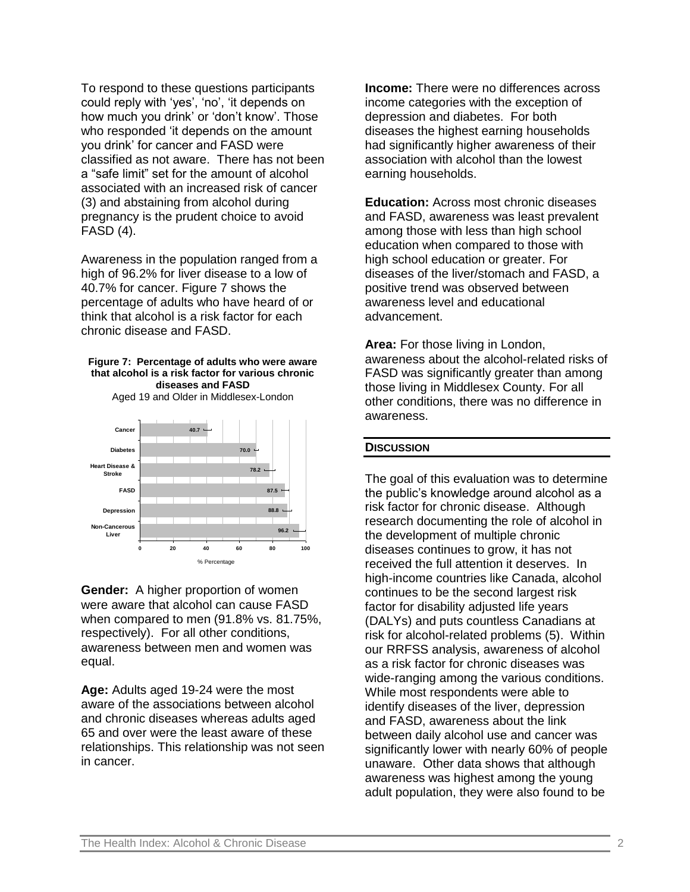To respond to these questions participants could reply with 'yes', 'no', 'it depends on how much you drink' or 'don't know'. Those who responded 'it depends on the amount you drink' for cancer and FASD were classified as not aware. There has not been a "safe limit" set for the amount of alcohol associated with an increased risk of cancer (3) and abstaining from alcohol during pregnancy is the prudent choice to avoid FASD (4).

Awareness in the population ranged from a high of 96.2% for liver disease to a low of 40.7% for cancer. Figure 7 shows the percentage of adults who have heard of or think that alcohol is a risk factor for each chronic disease and FASD.





Aged 19 and Older in Middlesex-London

**Gender:** A higher proportion of women were aware that alcohol can cause FASD when compared to men (91.8% vs. 81.75%, respectively). For all other conditions, awareness between men and women was equal.

**Age:** Adults aged 19-24 were the most aware of the associations between alcohol and chronic diseases whereas adults aged 65 and over were the least aware of these relationships. This relationship was not seen in cancer.

**Income:** There were no differences across income categories with the exception of depression and diabetes. For both diseases the highest earning households had significantly higher awareness of their association with alcohol than the lowest earning households.

**Education:** Across most chronic diseases and FASD, awareness was least prevalent among those with less than high school education when compared to those with high school education or greater. For diseases of the liver/stomach and FASD, a positive trend was observed between awareness level and educational advancement.

**Area:** For those living in London, awareness about the alcohol-related risks of FASD was significantly greater than among those living in Middlesex County. For all other conditions, there was no difference in awareness.

#### **DISCUSSION**

The goal of this evaluation was to determine the public's knowledge around alcohol as a risk factor for chronic disease. Although research documenting the role of alcohol in the development of multiple chronic diseases continues to grow, it has not received the full attention it deserves. In high-income countries like Canada, alcohol continues to be the second largest risk factor for disability adjusted life years (DALYs) and puts countless Canadians at risk for alcohol-related problems (5). Within our RRFSS analysis, awareness of alcohol as a risk factor for chronic diseases was wide-ranging among the various conditions. While most respondents were able to identify diseases of the liver, depression and FASD, awareness about the link between daily alcohol use and cancer was significantly lower with nearly 60% of people unaware. Other data shows that although awareness was highest among the young adult population, they were also found to be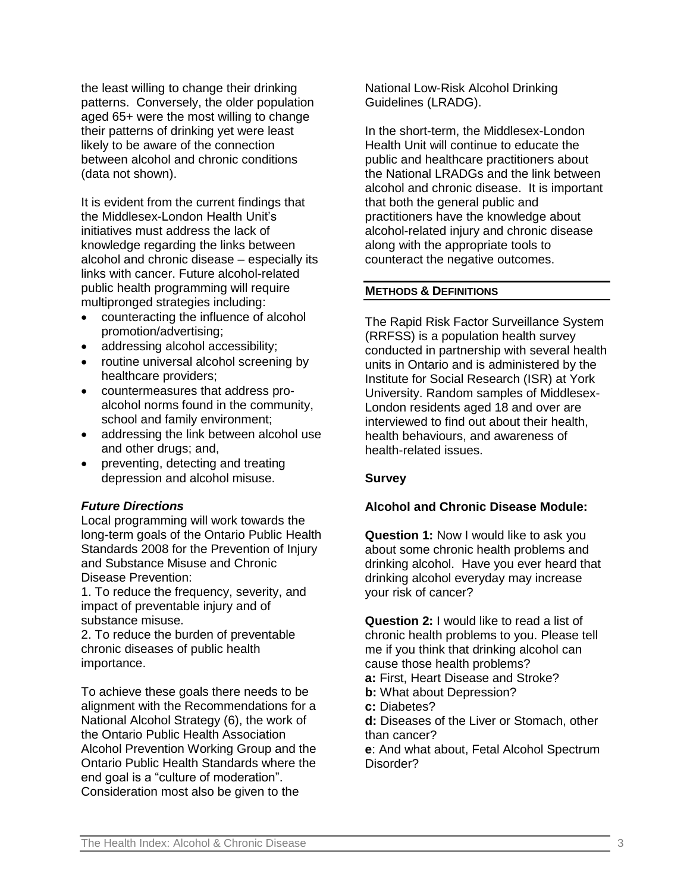the least willing to change their drinking patterns. Conversely, the older population aged 65+ were the most willing to change their patterns of drinking yet were least likely to be aware of the connection between alcohol and chronic conditions (data not shown).

It is evident from the current findings that the Middlesex-London Health Unit's initiatives must address the lack of knowledge regarding the links between alcohol and chronic disease – especially its links with cancer. Future alcohol-related public health programming will require multipronged strategies including:

- counteracting the influence of alcohol promotion/advertising;
- addressing alcohol accessibility;
- routine universal alcohol screening by healthcare providers;
- countermeasures that address proalcohol norms found in the community, school and family environment;
- addressing the link between alcohol use and other drugs; and,
- preventing, detecting and treating depression and alcohol misuse.

### *Future Directions*

Local programming will work towards the long-term goals of the Ontario Public Health Standards 2008 for the Prevention of Injury and Substance Misuse and Chronic Disease Prevention:

1. To reduce the frequency, severity, and impact of preventable injury and of substance misuse.

2. To reduce the burden of preventable chronic diseases of public health importance.

To achieve these goals there needs to be alignment with the Recommendations for a National Alcohol Strategy (6), the work of the Ontario Public Health Association Alcohol Prevention Working Group and the Ontario Public Health Standards where the end goal is a "culture of moderation". Consideration most also be given to the

National Low-Risk Alcohol Drinking Guidelines (LRADG).

In the short-term, the Middlesex-London Health Unit will continue to educate the public and healthcare practitioners about the National LRADGs and the link between alcohol and chronic disease. It is important that both the general public and practitioners have the knowledge about alcohol-related injury and chronic disease along with the appropriate tools to counteract the negative outcomes.

### **METHODS & DEFINITIONS**

The Rapid Risk Factor Surveillance System (RRFSS) is a population health survey conducted in partnership with several health units in Ontario and is administered by the Institute for Social Research (ISR) at York University. Random samples of Middlesex-London residents aged 18 and over are interviewed to find out about their health, health behaviours, and awareness of health-related issues.

# **Survey**

# **Alcohol and Chronic Disease Module:**

**Question 1:** Now I would like to ask you about some chronic health problems and drinking alcohol. Have you ever heard that drinking alcohol everyday may increase your risk of cancer?

**Question 2:** I would like to read a list of chronic health problems to you. Please tell me if you think that drinking alcohol can cause those health problems?

**a:** First, Heart Disease and Stroke?

- **b:** What about Depression?
- **c:** Diabetes?

**d:** Diseases of the Liver or Stomach, other than cancer?

**e**: And what about, Fetal Alcohol Spectrum Disorder?